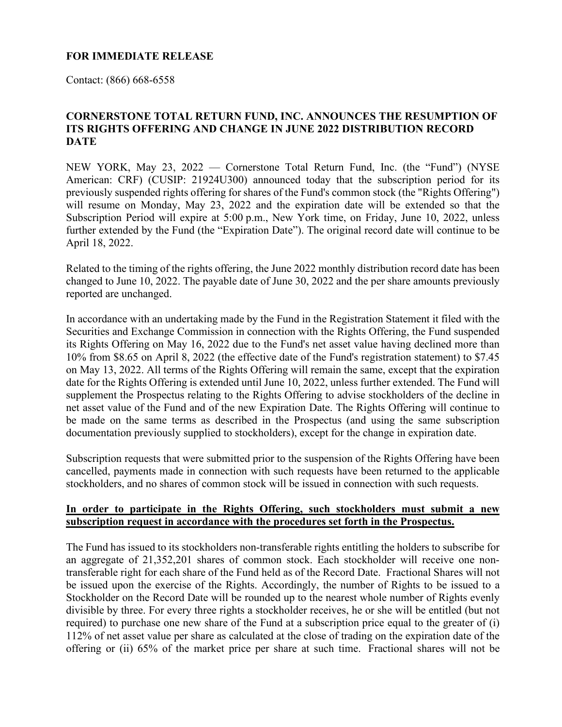## **FOR IMMEDIATE RELEASE**

Contact: (866) 668-6558

## **CORNERSTONE TOTAL RETURN FUND, INC. ANNOUNCES THE RESUMPTION OF ITS RIGHTS OFFERING AND CHANGE IN JUNE 2022 DISTRIBUTION RECORD DATE**

NEW YORK, May 23, 2022 — Cornerstone Total Return Fund, Inc. (the "Fund") (NYSE American: CRF) (CUSIP: 21924U300) announced today that the subscription period for its previously suspended rights offering for shares of the Fund's common stock (the "Rights Offering") will resume on Monday, May 23, 2022 and the expiration date will be extended so that the Subscription Period will expire at 5:00 p.m., New York time, on Friday, June 10, 2022, unless further extended by the Fund (the "Expiration Date"). The original record date will continue to be April 18, 2022.

Related to the timing of the rights offering, the June 2022 monthly distribution record date has been changed to June 10, 2022. The payable date of June 30, 2022 and the per share amounts previously reported are unchanged.

In accordance with an undertaking made by the Fund in the Registration Statement it filed with the Securities and Exchange Commission in connection with the Rights Offering, the Fund suspended its Rights Offering on May 16, 2022 due to the Fund's net asset value having declined more than 10% from \$8.65 on April 8, 2022 (the effective date of the Fund's registration statement) to \$7.45 on May 13, 2022. All terms of the Rights Offering will remain the same, except that the expiration date for the Rights Offering is extended until June 10, 2022, unless further extended. The Fund will supplement the Prospectus relating to the Rights Offering to advise stockholders of the decline in net asset value of the Fund and of the new Expiration Date. The Rights Offering will continue to be made on the same terms as described in the Prospectus (and using the same subscription documentation previously supplied to stockholders), except for the change in expiration date.

Subscription requests that were submitted prior to the suspension of the Rights Offering have been cancelled, payments made in connection with such requests have been returned to the applicable stockholders, and no shares of common stock will be issued in connection with such requests.

## **In order to participate in the Rights Offering, such stockholders must submit a new subscription request in accordance with the procedures set forth in the Prospectus.**

The Fund has issued to its stockholders non-transferable rights entitling the holders to subscribe for an aggregate of 21,352,201 shares of common stock. Each stockholder will receive one nontransferable right for each share of the Fund held as of the Record Date. Fractional Shares will not be issued upon the exercise of the Rights. Accordingly, the number of Rights to be issued to a Stockholder on the Record Date will be rounded up to the nearest whole number of Rights evenly divisible by three. For every three rights a stockholder receives, he or she will be entitled (but not required) to purchase one new share of the Fund at a subscription price equal to the greater of (i) 112% of net asset value per share as calculated at the close of trading on the expiration date of the offering or (ii) 65% of the market price per share at such time. Fractional shares will not be